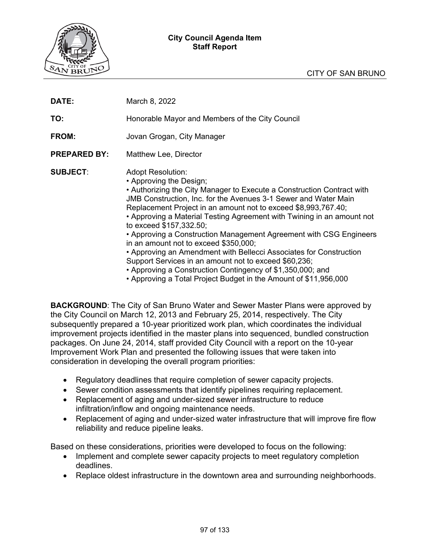### **City Council Agenda Item Staff Report**



| DATE:               | March 8, 2022                                                                                                                                                                                                                                                                                                                                                                                                                                                                                                                                                                                                                                                                                                                                                  |
|---------------------|----------------------------------------------------------------------------------------------------------------------------------------------------------------------------------------------------------------------------------------------------------------------------------------------------------------------------------------------------------------------------------------------------------------------------------------------------------------------------------------------------------------------------------------------------------------------------------------------------------------------------------------------------------------------------------------------------------------------------------------------------------------|
| TO:                 | Honorable Mayor and Members of the City Council                                                                                                                                                                                                                                                                                                                                                                                                                                                                                                                                                                                                                                                                                                                |
| FROM:               | Jovan Grogan, City Manager                                                                                                                                                                                                                                                                                                                                                                                                                                                                                                                                                                                                                                                                                                                                     |
| <b>PREPARED BY:</b> | Matthew Lee, Director                                                                                                                                                                                                                                                                                                                                                                                                                                                                                                                                                                                                                                                                                                                                          |
| <b>SUBJECT:</b>     | <b>Adopt Resolution:</b><br>• Approving the Design;<br>• Authorizing the City Manager to Execute a Construction Contract with<br><b>JMB Construction, Inc. for the Avenues 3-1 Sewer and Water Main</b><br>Replacement Project in an amount not to exceed \$8,993,767.40;<br>• Approving a Material Testing Agreement with Twining in an amount not<br>to exceed \$157,332.50;<br>• Approving a Construction Management Agreement with CSG Engineers<br>in an amount not to exceed \$350,000;<br>• Approving an Amendment with Bellecci Associates for Construction<br>Support Services in an amount not to exceed \$60,236;<br>• Approving a Construction Contingency of \$1,350,000; and<br>• Approving a Total Project Budget in the Amount of \$11,956,000 |

**BACKGROUND**: The City of San Bruno Water and Sewer Master Plans were approved by the City Council on March 12, 2013 and February 25, 2014, respectively. The City subsequently prepared a 10-year prioritized work plan, which coordinates the individual improvement projects identified in the master plans into sequenced, bundled construction packages. On June 24, 2014, staff provided City Council with a report on the 10-year Improvement Work Plan and presented the following issues that were taken into consideration in developing the overall program priorities:

- Regulatory deadlines that require completion of sewer capacity projects.
- Sewer condition assessments that identify pipelines requiring replacement.
- Replacement of aging and under-sized sewer infrastructure to reduce infiltration/inflow and ongoing maintenance needs.
- Replacement of aging and under-sized water infrastructure that will improve fire flow reliability and reduce pipeline leaks.

Based on these considerations, priorities were developed to focus on the following:

- Implement and complete sewer capacity projects to meet regulatory completion deadlines.
- Replace oldest infrastructure in the downtown area and surrounding neighborhoods.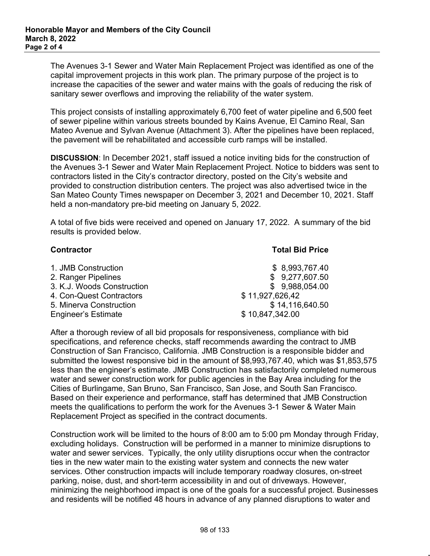The Avenues 3-1 Sewer and Water Main Replacement Project was identified as one of the capital improvement projects in this work plan. The primary purpose of the project is to increase the capacities of the sewer and water mains with the goals of reducing the risk of sanitary sewer overflows and improving the reliability of the water system.

This project consists of installing approximately 6,700 feet of water pipeline and 6,500 feet of sewer pipeline within various streets bounded by Kains Avenue, El Camino Real, San Mateo Avenue and Sylvan Avenue (Attachment 3). After the pipelines have been replaced, the pavement will be rehabilitated and accessible curb ramps will be installed.

**DISCUSSION**: In December 2021, staff issued a notice inviting bids for the construction of the Avenues 3-1 Sewer and Water Main Replacement Project. Notice to bidders was sent to contractors listed in the City's contractor directory, posted on the City's website and provided to construction distribution centers. The project was also advertised twice in the San Mateo County Times newspaper on December 3, 2021 and December 10, 2021. Staff held a non-mandatory pre-bid meeting on January 5, 2022.

A total of five bids were received and opened on January 17, 2022. A summary of the bid results is provided below.

| <b>Contractor</b>          | <b>Total Bid Price</b> |
|----------------------------|------------------------|
| 1. JMB Construction        | \$8,993,767.40         |
| 2. Ranger Pipelines        | \$9,277,607.50         |
| 3. K.J. Woods Construction | \$9,988,054.00         |
| 4. Con-Quest Contractors   | \$11,927,626,42        |
| 5. Minerva Construction    | \$14,116,640.50        |
| <b>Engineer's Estimate</b> | \$10,847,342.00        |

After a thorough review of all bid proposals for responsiveness, compliance with bid specifications, and reference checks, staff recommends awarding the contract to JMB Construction of San Francisco, California. JMB Construction is a responsible bidder and submitted the lowest responsive bid in the amount of \$8,993,767.40, which was \$1,853,575 less than the engineer's estimate. JMB Construction has satisfactorily completed numerous water and sewer construction work for public agencies in the Bay Area including for the Cities of Burlingame, San Bruno, San Francisco, San Jose, and South San Francisco. Based on their experience and performance, staff has determined that JMB Construction meets the qualifications to perform the work for the Avenues 3-1 Sewer & Water Main Replacement Project as specified in the contract documents.

Construction work will be limited to the hours of 8:00 am to 5:00 pm Monday through Friday, excluding holidays. Construction will be performed in a manner to minimize disruptions to water and sewer services. Typically, the only utility disruptions occur when the contractor ties in the new water main to the existing water system and connects the new water services. Other construction impacts will include temporary roadway closures, on-street parking, noise, dust, and short-term accessibility in and out of driveways. However, minimizing the neighborhood impact is one of the goals for a successful project. Businesses and residents will be notified 48 hours in advance of any planned disruptions to water and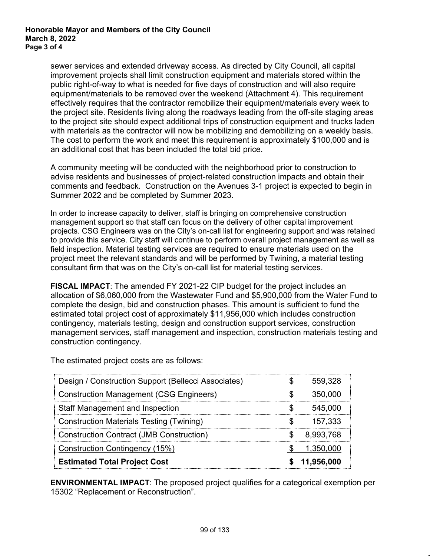sewer services and extended driveway access. As directed by City Council, all capital improvement projects shall limit construction equipment and materials stored within the public right-of-way to what is needed for five days of construction and will also require equipment/materials to be removed over the weekend (Attachment 4). This requirement effectively requires that the contractor remobilize their equipment/materials every week to the project site. Residents living along the roadways leading from the off-site staging areas to the project site should expect additional trips of construction equipment and trucks laden with materials as the contractor will now be mobilizing and demobilizing on a weekly basis. The cost to perform the work and meet this requirement is approximately \$100,000 and is an additional cost that has been included the total bid price.

A community meeting will be conducted with the neighborhood prior to construction to advise residents and businesses of project-related construction impacts and obtain their comments and feedback. Construction on the Avenues 3-1 project is expected to begin in Summer 2022 and be completed by Summer 2023.

In order to increase capacity to deliver, staff is bringing on comprehensive construction management support so that staff can focus on the delivery of other capital improvement projects. CSG Engineers was on the City's on-call list for engineering support and was retained to provide this service. City staff will continue to perform overall project management as well as field inspection. Material testing services are required to ensure materials used on the project meet the relevant standards and will be performed by Twining, a material testing consultant firm that was on the City's on-call list for material testing services.

**FISCAL IMPACT**: The amended FY 2021-22 CIP budget for the project includes an allocation of \$6,060,000 from the Wastewater Fund and \$5,900,000 from the Water Fund to complete the design, bid and construction phases. This amount is sufficient to fund the estimated total project cost of approximately \$11,956,000 which includes construction contingency, materials testing, design and construction support services, construction management services, staff management and inspection, construction materials testing and construction contingency.

| Design / Construction Support (Bellecci Associates) | 559,328    |
|-----------------------------------------------------|------------|
| <b>Construction Management (CSG Engineers)</b>      | 350,000    |
| <b>Staff Management and Inspection</b>              | 545,000    |
| <b>Construction Materials Testing (Twining)</b>     | 157,333    |
| <b>Construction Contract (JMB Construction)</b>     | 8,993,768  |
| <b>Construction Contingency (15%)</b>               | 1.350.000  |
| <b>Estimated Total Project Cost</b>                 | 11.956.000 |

The estimated project costs are as follows:

**ENVIRONMENTAL IMPACT**: The proposed project qualifies for a categorical exemption per 15302 "Replacement or Reconstruction".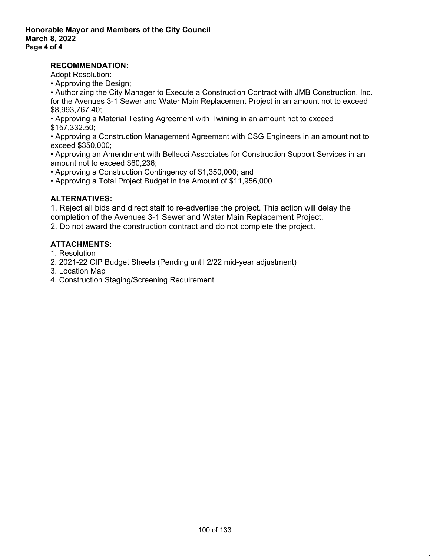### **RECOMMENDATION:**

Adopt Resolution:

• Approving the Design;

• Authorizing the City Manager to Execute a Construction Contract with JMB Construction, Inc. for the Avenues 3-1 Sewer and Water Main Replacement Project in an amount not to exceed \$8,993,767.40;

• Approving a Material Testing Agreement with Twining in an amount not to exceed \$157,332.50;

• Approving a Construction Management Agreement with CSG Engineers in an amount not to exceed \$350,000;

• Approving an Amendment with Bellecci Associates for Construction Support Services in an amount not to exceed \$60,236;

• Approving a Construction Contingency of \$1,350,000; and

• Approving a Total Project Budget in the Amount of \$11,956,000

## **ALTERNATIVES:**

1. Reject all bids and direct staff to re-advertise the project. This action will delay the completion of the Avenues 3-1 Sewer and Water Main Replacement Project.

2. Do not award the construction contract and do not complete the project.

## **ATTACHMENTS:**

1. Resolution

2. 2021-22 CIP Budget Sheets (Pending until 2/22 mid-year adjustment)

- 3. Location Map
- 4. Construction Staging/Screening Requirement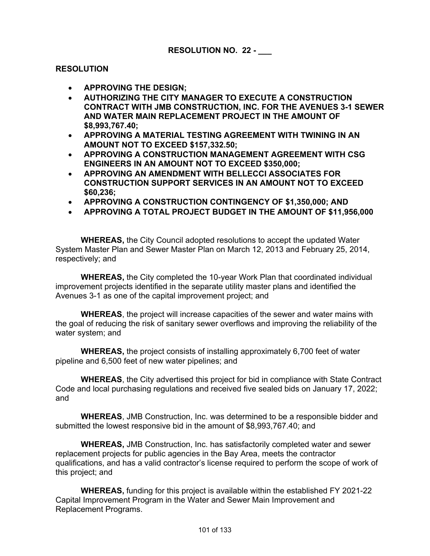## **RESOLUTION**

- **APPROVING THE DESIGN;**
- **AUTHORIZING THE CITY MANAGER TO EXECUTE A CONSTRUCTION CONTRACT WITH JMB CONSTRUCTION, INC. FOR THE AVENUES 3-1 SEWER AND WATER MAIN REPLACEMENT PROJECT IN THE AMOUNT OF \$8,993,767.40;**
- **APPROVING A MATERIAL TESTING AGREEMENT WITH TWINING IN AN AMOUNT NOT TO EXCEED \$157,332.50;**
- **APPROVING A CONSTRUCTION MANAGEMENT AGREEMENT WITH CSG ENGINEERS IN AN AMOUNT NOT TO EXCEED \$350,000;**
- **APPROVING AN AMENDMENT WITH BELLECCI ASSOCIATES FOR CONSTRUCTION SUPPORT SERVICES IN AN AMOUNT NOT TO EXCEED \$60,236;**
- **APPROVING A CONSTRUCTION CONTINGENCY OF \$1,350,000; AND**
- **APPROVING A TOTAL PROJECT BUDGET IN THE AMOUNT OF \$11,956,000**

**WHEREAS,** the City Council adopted resolutions to accept the updated Water System Master Plan and Sewer Master Plan on March 12, 2013 and February 25, 2014, respectively; and

**WHEREAS,** the City completed the 10-year Work Plan that coordinated individual improvement projects identified in the separate utility master plans and identified the Avenues 3-1 as one of the capital improvement project; and

**WHEREAS**, the project will increase capacities of the sewer and water mains with the goal of reducing the risk of sanitary sewer overflows and improving the reliability of the water system; and

**WHEREAS,** the project consists of installing approximately 6,700 feet of water pipeline and 6,500 feet of new water pipelines; and

**WHEREAS**, the City advertised this project for bid in compliance with State Contract Code and local purchasing regulations and received five sealed bids on January 17, 2022; and

**WHEREAS**, JMB Construction, Inc. was determined to be a responsible bidder and submitted the lowest responsive bid in the amount of \$8,993,767.40; and

**WHEREAS,** JMB Construction, Inc. has satisfactorily completed water and sewer replacement projects for public agencies in the Bay Area, meets the contractor qualifications, and has a valid contractor's license required to perform the scope of work of this project; and

**WHEREAS,** funding for this project is available within the established FY 2021-22 Capital Improvement Program in the Water and Sewer Main Improvement and Replacement Programs.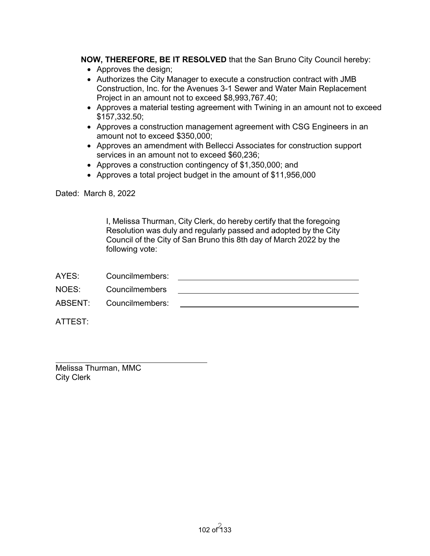**NOW, THEREFORE, BE IT RESOLVED** that the San Bruno City Council hereby:

- Approves the design;
- Authorizes the City Manager to execute a construction contract with JMB Construction, Inc. for the Avenues 3-1 Sewer and Water Main Replacement Project in an amount not to exceed \$8,993,767.40;
- Approves a material testing agreement with Twining in an amount not to exceed \$157,332.50;
- Approves a construction management agreement with CSG Engineers in an amount not to exceed \$350,000;
- Approves an amendment with Bellecci Associates for construction support services in an amount not to exceed \$60,236;
- Approves a construction contingency of \$1,350,000; and
- Approves a total project budget in the amount of \$11,956,000

Dated: March 8, 2022

I, Melissa Thurman, City Clerk, do hereby certify that the foregoing Resolution was duly and regularly passed and adopted by the City Council of the City of San Bruno this 8th day of March 2022 by the following vote:

| AYES: | Councilmembers:         |  |
|-------|-------------------------|--|
| NOES: | Councilmembers          |  |
|       | ABSENT: Councilmembers: |  |

ATTEST:

Melissa Thurman, MMC City Clerk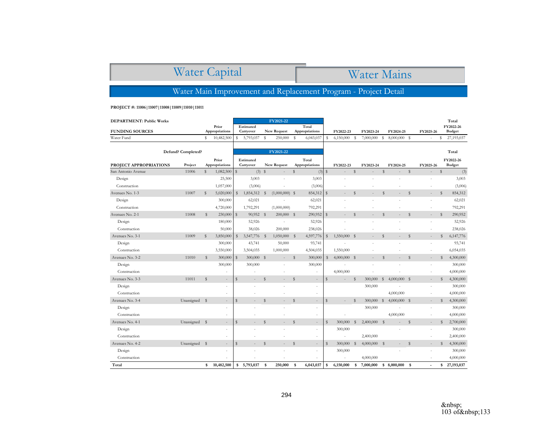# Water Capital

# Water Mains

Water Main Improvement and Replacement Program - Project Detail

**PROJECT #: 11006|11007|11008|11009|11010|11011**

| <b>DEPARTMENT: Public Works</b> |                    |              |                          |              |                        |              | FY2021-22                |             |                          |              |                |              |                |              |                          |               |                          |             | Total                      |
|---------------------------------|--------------------|--------------|--------------------------|--------------|------------------------|--------------|--------------------------|-------------|--------------------------|--------------|----------------|--------------|----------------|--------------|--------------------------|---------------|--------------------------|-------------|----------------------------|
| <b>FUNDING SOURCES</b>          |                    |              | Prior<br>Appropriations  |              | Estimated<br>Carryover |              | New Request              |             | Total<br>Appropriations  |              | FY2022-23      |              | FY2023-24      |              | FY2024-25                |               | FY2025-26                |             | FY2022-26<br><b>Budget</b> |
| Water Fund                      |                    | s            | 10,482,500               | s            | 5,793,037              | s            | 250,000                  | s           | 6,043,037                | s            | 6,150,000      | s            | 7,000,000      | s            | $8,000,000$ \$           |               |                          | S           | 27,193,037                 |
|                                 |                    |              |                          |              |                        |              |                          |             |                          |              |                |              |                |              |                          |               |                          |             |                            |
|                                 | Defund? Completed? |              |                          |              |                        |              | FY2021-22                |             |                          |              |                |              |                |              |                          |               |                          |             | Total                      |
|                                 |                    |              | Prior                    |              | Estimated              |              |                          |             | Total                    |              |                |              |                |              |                          |               |                          |             | FY2022-26                  |
| PROJECT APPROPRIATIONS          | Project            |              | Appropriations           |              | Carryover              |              | New Request              |             | Appropriations           |              | FY2022-23      |              | FY2023-24      |              | FY2024-25                |               | FY2025-26                |             | <b>Budget</b>              |
| San Antonio Avenue              | 11006              | s            | $1,082,500$ \$           |              | $(3)$ \$               |              | $\overline{\phantom{a}}$ | \$          | (3)                      | $\mathsf{s}$ |                | $\mathbb S$  |                | $\mathbb S$  |                          | $\mathbb{S}$  | $\frac{1}{2}$            | \$          | (3)                        |
| Design                          |                    |              | 25,500                   |              | 3,003                  |              | i,                       |             | 3,003                    |              |                |              |                |              |                          |               |                          |             | 3,003                      |
| Construction                    |                    |              | 1,057,000                |              | (3,006)                |              |                          |             | (3,006)                  |              |                |              |                |              |                          |               |                          |             | (3,006)                    |
| Avenues No. 1-3                 | 11007              | $\mathbb{S}$ | 5,020,000                | S            | 1,854,312 \$           |              | $(1,000,000)$ \$         |             | 854,312                  | $\mathsf{s}$ |                | $\mathbb S$  |                | $\mathbb S$  |                          | $\mathbf S$   |                          | \$          | 854,312                    |
| Design                          |                    |              | 300,000                  |              | 62,021                 |              |                          |             | 62,021                   |              |                |              |                |              |                          |               |                          |             | 62,021                     |
| Construction                    |                    |              | 4,720,000                |              | 1,792,291              |              | (1,000,000)              |             | 792,291                  |              |                |              |                |              |                          |               |                          |             | 792,291                    |
| Avenues No. 2-1                 | 11008              | s            | $230,000$ \$             |              | 90,952 \$              |              | $200,000$ \$             |             | 290,952                  | s            |                | $\mathsf{s}$ |                | $\mathsf{s}$ |                          | $\mathbf S$   | $\overline{\phantom{a}}$ | $\mathbb S$ | 290,952                    |
| Design                          |                    |              | 180,000                  |              | 52,926                 |              |                          |             | 52,926                   |              |                |              |                |              |                          |               |                          |             | 52,926                     |
| Construction                    |                    |              | 50,000                   |              | 38,026                 |              | 200,000                  |             | 238,026                  |              |                |              |                |              |                          |               |                          |             | 238,026                    |
| Avenues No. 3-1                 | 11009              | $\mathbb{S}$ | 3,850,000                | S            | 3,547,776 \$           |              | $1,050,000$ \$           |             | 4,597,776                | $\mathsf{s}$ | 1,550,000 \$   |              |                | $\mathsf{s}$ |                          | $\mathbf S$   |                          | $\mathbb S$ | 6,147,776                  |
| Design                          |                    |              | 300,000                  |              | 43,741                 |              | 50,000                   |             | 93,741                   |              |                |              |                |              |                          |               |                          |             | 93,741                     |
| Construction                    |                    |              | 3,550,000                |              | 3,504,035              |              | 1,000,000                |             | 4,504,035                |              | 1,550,000      |              |                |              |                          |               |                          |             | 6,054,035                  |
| Avenues No. 3-2                 | 11010              | \$           | 300,000                  | s            | 300,000 \$             |              | $\overline{\phantom{a}}$ | \$          | 300,000                  | s            | $4,000,000$ \$ |              |                | S            |                          | <sup>\$</sup> |                          | \$          | 4,300,000                  |
| Design                          |                    |              | 300,000                  |              | 300,000                |              | ÷,                       |             | 300,000                  |              |                |              |                |              |                          |               |                          |             | 300,000                    |
| Construction                    |                    |              | ٠                        |              |                        |              |                          |             | $\sim$                   |              | 4,000,000      |              |                |              |                          |               |                          |             | 4,000,000                  |
| Avenues No. 3-3                 | 11011              | $\mathbb S$  | $\overline{\phantom{a}}$ | $\mathbb{S}$ |                        | $\mathsf{s}$ | L.                       | $\mathbb S$ | $\overline{a}$           | $\mathsf{s}$ |                | $\mathbb{S}$ | 300,000        | s            | $4,000,000$ \$           |               |                          | $\mathbb S$ | 4,300,000                  |
| Design                          |                    |              | ٠                        |              |                        |              |                          |             | ÷                        |              |                |              | 300,000        |              |                          |               |                          |             | 300,000                    |
| Construction                    |                    |              | $\sim$                   |              |                        |              |                          |             | $\bar{a}$                |              |                |              |                |              | 4,000,000                |               |                          |             | 4,000,000                  |
| Avenues No. 3-4                 | Unassigned \$      |              | $\overline{\phantom{a}}$ | $\mathbb S$  |                        | s            | $\overline{a}$           | \$          | $\overline{\phantom{a}}$ | s            |                | $\mathbf{s}$ | 300,000        | <sub>S</sub> | $4,000,000$ \$           |               |                          | \$          | 4,300,000                  |
| Design                          |                    |              |                          |              |                        |              |                          |             | ÷,                       |              |                |              | 300,000        |              |                          |               |                          |             | 300,000                    |
| Construction                    |                    |              | ٠                        |              |                        |              |                          |             | ÷.                       |              |                |              |                |              | 4,000,000                |               |                          |             | 4,000,000                  |
| Avenues No. 4-1                 | Unassigned \$      |              | $\overline{\phantom{a}}$ | $\mathbb S$  |                        | s            | $\overline{\phantom{a}}$ | Ŝ           | $\overline{\phantom{a}}$ | $\mathbb S$  | 300,000        | $\mathbb{S}$ | $2,400,000$ \$ |              | $\overline{\phantom{a}}$ | $\mathbf S$   |                          | $\mathbb S$ | 2,700,000                  |
| Design                          |                    |              | $\sim$                   |              |                        |              |                          |             | ä,                       |              | 300,000        |              |                |              |                          |               |                          |             | 300,000                    |
| Construction                    |                    |              | ÷                        |              |                        |              |                          |             | ÷                        |              | ÷.             |              | 2,400,000      |              |                          |               |                          |             | 2,400,000                  |
| Avenues No. 4-2                 | Unassigned \$      |              | $\overline{\phantom{a}}$ | $\mathbb S$  |                        | s            | ÷                        | $\mathbb S$ | $\overline{\phantom{a}}$ | $\mathsf{s}$ | 300,000        | $\mathbb{S}$ | $4,000,000$ \$ |              | $\overline{\phantom{a}}$ | $\mathsf{s}$  | $\overline{\phantom{a}}$ | $\mathbb S$ | 4,300,000                  |
| Design                          |                    |              | $\sim$                   |              |                        |              |                          |             | $\bar{a}$                |              | 300,000        |              |                |              |                          |               |                          |             | 300,000                    |
| Construction                    |                    |              |                          |              |                        |              |                          |             |                          |              |                |              | 4,000,000      |              |                          |               |                          |             | 4,000,000                  |
| Total                           |                    | \$           | 10,482,500               | \$           | 5,793,037              | <b>S</b>     | 250,000                  | s           | 6,043,037                | \$           | 6,150,000      | \$           | 7,000,000      |              | \$8,000,000              | $\mathbf{s}$  |                          |             | \$27,193,037               |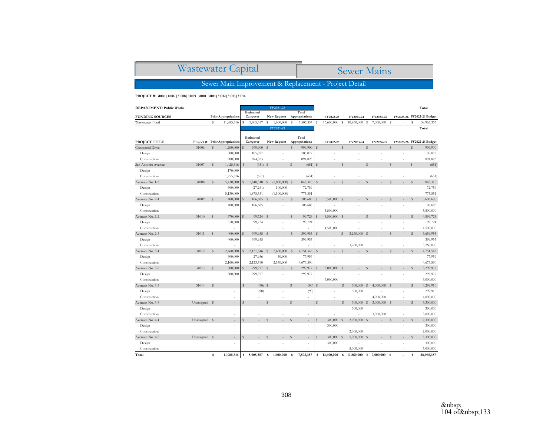| Wastewater Capital                                    | <b>Sewer Mains</b> |  |  |  |  |  |
|-------------------------------------------------------|--------------------|--|--|--|--|--|
| Sewer Main Improvement & Replacement - Project Detail |                    |  |  |  |  |  |

#### **PROJECT #: 31006|31007|31008|31009|31010|31011|31012|31013|31014**

| DEPARTMENT: Public Works |               |                                |              |                        |              | FY2021-22                |              |                         |              |                  |             |              |              |           |             |                |              | Total                      |
|--------------------------|---------------|--------------------------------|--------------|------------------------|--------------|--------------------------|--------------|-------------------------|--------------|------------------|-------------|--------------|--------------|-----------|-------------|----------------|--------------|----------------------------|
| <b>FUNDING SOURCES</b>   |               | <b>Prior Appropriations</b>    |              | Estimated<br>Carryover |              | New Request              |              | Total<br>Appropriations |              | FY2022-23        |             | FY2023-24    |              | FY2024-25 |             |                |              | FY2025-26 FY2022-26 Budget |
| Wastewater Fund          |               | s<br>11,985,316                | s            | 5,905,357              | s            | 1,600,000                | s            | 7,505,357               | s            | 13,600,000 \$    |             | 10,860,000   | s            | 7,000,000 | s           |                | s            | 38,965,357                 |
|                          |               |                                |              |                        |              | FY2021-22                |              |                         |              |                  |             |              |              |           |             |                |              | Total                      |
|                          |               |                                |              |                        |              |                          |              |                         |              |                  |             |              |              |           |             |                |              |                            |
|                          |               |                                |              | Estimated              |              |                          |              | Total                   |              |                  |             |              |              |           |             |                |              |                            |
| PROJECT TITLE            |               | Project # Prior Appropriations |              | Carryover              |              | New Request              | $\mathbf S$  | Appropriations          |              | FY2022-23        | $\mathbf S$ | FY2023-24    | $\mathbf{s}$ | FY2024-25 |             |                | $\mathsf{s}$ | FY2025-26 FY2022-26 Budget |
| Crestwood Drive          | 31006         | $\mathbf S$<br>1,200,000       | S            | 999,900                | s            |                          |              | 999,900                 | $\mathbf{s}$ |                  |             |              |              |           | s           |                |              | 999,900                    |
| Design                   |               | 300,000                        |              | 105,077                |              |                          |              | 105,077                 |              |                  |             |              |              |           |             |                |              | 105,077                    |
| Construction             |               | 900,000                        |              | 894,823                |              | ×,                       |              | 894,823                 |              |                  |             |              |              |           |             |                |              | 894,823                    |
| San Antonio Avenue       | 31007         | s<br>1,425,316                 | S            | $(651)$ \$             |              | ÷                        | $\mathsf{s}$ | (651)                   | $\mathsf{s}$ |                  | s           |              | $\mathbf S$  |           | $\mathbf S$ |                | $\mathsf{s}$ | (651)                      |
| Design                   |               | 170,000                        |              |                        |              |                          |              |                         |              |                  |             |              |              |           |             |                |              |                            |
| Construction             |               | 1,255,316                      |              | (651)                  |              |                          |              | (651)                   |              |                  |             |              |              |           |             |                |              | (651)                      |
| Avenues No. 1-3          | 31008         | $\mathbb S$<br>5,430,000       | $\mathbb S$  | 1,848,310 \$           |              | $(1,000,000)$ \$         |              | 848,310                 | s            |                  | $\mathbf S$ |              | s            |           | $\mathbf S$ |                | $\mathbb S$  | 848,310                    |
| Design                   |               | 300,000                        |              | (27, 241)              |              | 100,000                  |              | 72,759                  |              |                  |             |              |              |           |             |                |              | 72,759                     |
| Construction             |               | 5,130,000                      |              | 1,875,551              |              | (1,100,000)              |              | 775,551                 |              |                  |             |              |              |           |             |                |              | 775,551                    |
| Avenues No. 2-1          | 31009         | s<br>400,000                   | S            | 106,685 \$             |              |                          | $\mathbb S$  | 106,685                 | $\mathbf S$  | 5,500,000 \$     |             |              | s            |           | S           |                | $\mathbb S$  | 5,606,685                  |
| Design                   |               | 400,000                        |              | 106,685                |              | ä,                       |              | 106,685                 |              |                  |             |              |              |           |             |                |              | 106,685                    |
| Construction             |               |                                |              |                        |              | ×,                       |              |                         |              | 5,500,000        |             |              |              |           |             | ÷              |              | 5,500,000                  |
| Avenues No. 2-2          | 31010         | $\mathbb S$<br>370,000         | $\mathbb S$  | 99,724 \$              |              |                          | $\mathbb S$  | 99,724                  | $\mathbf S$  | 4,500,000 \$     |             |              | s            |           | $\mathbf S$ |                | $\mathbb S$  | 4,599,724                  |
| Design                   |               | 370,000                        |              | 99,724                 |              |                          |              | 99,724                  |              |                  |             |              |              |           |             |                |              | 99,724                     |
| Construction             |               | ÷,                             |              |                        |              |                          |              |                         |              | 4,500,000        |             |              |              |           |             |                |              | 4,500,000                  |
| Avenues No. 2-3          | 31011         | $\mathsf{s}$<br>400,000        | $\mathbb S$  | 399,955 \$             |              |                          | S            | 399,955                 | $\mathsf{s}$ |                  | $\mathbf S$ | 3,260,000    | s            |           | $\mathbf S$ |                | $\mathbb S$  | 3,659,955                  |
| Design                   |               | 400,000                        |              | 399,955                |              |                          |              | 399,955                 |              |                  |             |              |              |           |             |                |              | 399,955                    |
| Construction             |               |                                |              |                        |              |                          |              |                         |              |                  |             | 3,260,000    |              |           |             |                |              | 3,260,000                  |
| Avenues No. 3-1          | 31012         | $\mathbb S$<br>2,460,000       | $\mathbb S$  | 2,151,546              | $\mathbf{s}$ | 2,600,000                | $\mathbf{s}$ | 4,751,546               | S            |                  | $\mathbf S$ |              | $\mathbf S$  |           | S           |                | s            | 4,751,546                  |
| Design                   |               | 300,000                        |              | 27,956                 |              | 50,000                   |              | 77,956                  |              |                  |             |              |              |           |             |                |              | 77,956                     |
| Construction             |               | 2,160,000                      |              | 2,123,590              |              | 2,550,000                |              | 4,673,590               |              |                  |             |              |              |           |             |                |              | 4,673,590                  |
| Avenues No. 3-2          | 31013         | $\mathsf{s}$<br>300,000        | S            | 299,977 \$             |              |                          | $\mathbb S$  | 299,977                 |              | 3,000,000 \$     |             |              | $\mathbf S$  |           | $\mathbf S$ |                | S            | 3,299,977                  |
| Design                   |               | 300,000                        |              | 299,977                |              | ÷,                       |              | 299,977                 |              |                  |             |              |              |           |             |                |              | 299,977                    |
| Construction             |               |                                |              |                        |              |                          |              |                         |              | 3,000,000        |             |              |              |           |             |                |              | 3,000,000                  |
| Avenues No. 3-3          | 31014         | S<br>$\sim$                    | S            | $(90)$ \$              |              | $\overline{\phantom{a}}$ | s            | (90)                    | s            | $\sim$           | S           | 300,000      | <sup>S</sup> | 4.000,000 | - S         | ٠              | S            | 4,299,910                  |
| Design                   |               | J.                             |              | (90)                   |              |                          |              | (90)                    |              |                  |             | 300,000      |              |           |             |                |              | 299,910                    |
| Construction             |               |                                |              |                        |              |                          |              |                         |              |                  |             | ٠            |              | 4,000,000 |             |                |              | 4,000,000                  |
| Avenues No. 3-4          | Unassigned \$ | ۰.                             | $\mathsf{s}$ |                        | S            |                          | s            | $\overline{a}$          | S            |                  | S           | 300,000      | s            | 3,000,000 | - S         |                | $\mathbb{S}$ | 3,300,000                  |
| Design                   |               | ł.                             |              |                        |              |                          |              | ÷                       |              |                  |             | 300,000      |              |           |             |                |              | 300,000                    |
| Construction             |               | ÷                              |              |                        |              |                          |              |                         |              |                  |             |              |              | 3,000,000 |             |                |              | 3,000,000                  |
| Avenues No. 4-1          | Unassigned \$ |                                | S            |                        | $\mathbf S$  |                          | s            |                         | $\mathbf S$  | 300,000 \$       |             | 2,000,000 \$ |              |           | $\mathbf S$ |                | $\mathbb S$  | 2,300,000                  |
| Design                   |               | J.                             |              |                        |              |                          |              | $\overline{a}$          |              | 300,000          |             |              |              |           |             |                |              | 300,000                    |
| Construction             |               |                                |              |                        |              |                          |              |                         |              | ÷.               |             | 2,000,000    |              |           |             |                |              | 2,000,000                  |
| Avenues No. 4-2          | Unassigned \$ |                                | S            |                        | $\mathbf S$  |                          | $\mathbb S$  |                         | s            | 300,000 \$       |             | 5,000,000    | s            |           | S           |                | $\mathbb S$  | 5,300,000                  |
| Design                   |               | ÷,                             |              |                        |              |                          |              | ä,                      |              | 300,000          |             |              |              |           |             |                |              | 300,000                    |
| Construction             |               |                                |              |                        |              |                          |              |                         |              |                  |             | 5,000,000    |              |           |             | ٠              |              | 5,000,000                  |
| Total                    |               | 11,985,316<br>\$               | \$           | 5,905,357              | \$           | 1,600,000                | s            | 7,505,357               |              | 13,600,000<br>\$ | \$          | 10,860,000   | s            | 7,000,000 | s           | $\blacksquare$ | s            | 38,965,357                 |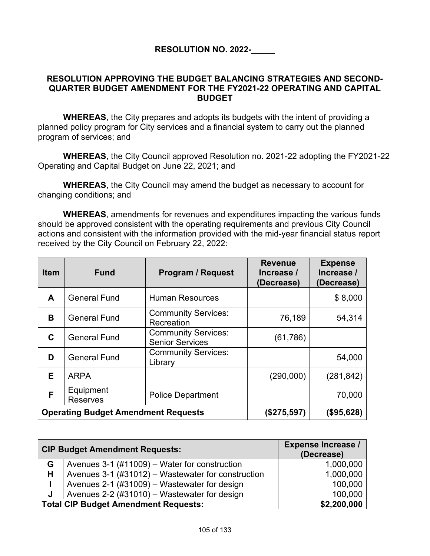# **RESOLUTION NO. 2022-\_\_\_\_\_**

# **RESOLUTION APPROVING THE BUDGET BALANCING STRATEGIES AND SECOND-QUARTER BUDGET AMENDMENT FOR THE FY2021-22 OPERATING AND CAPITAL BUDGET**

**WHEREAS**, the City prepares and adopts its budgets with the intent of providing a planned policy program for City services and a financial system to carry out the planned program of services; and

**WHEREAS**, the City Council approved Resolution no. 2021-22 adopting the FY2021-22 Operating and Capital Budget on June 22, 2021; and

**WHEREAS**, the City Council may amend the budget as necessary to account for changing conditions; and

**WHEREAS**, amendments for revenues and expenditures impacting the various funds should be approved consistent with the operating requirements and previous City Council actions and consistent with the information provided with the mid-year financial status report received by the City Council on February 22, 2022:

| <b>Item</b> | <b>Fund</b>                                | <b>Program / Request</b>                             | <b>Revenue</b><br>Increase /<br>(Decrease) | <b>Expense</b><br>Increase /<br>(Decrease) |
|-------------|--------------------------------------------|------------------------------------------------------|--------------------------------------------|--------------------------------------------|
| A           | <b>General Fund</b>                        | <b>Human Resources</b>                               |                                            | \$8,000                                    |
| B           | <b>General Fund</b>                        | <b>Community Services:</b><br>Recreation             | 76,189                                     | 54,314                                     |
| C           | <b>General Fund</b>                        | <b>Community Services:</b><br><b>Senior Services</b> | (61, 786)                                  |                                            |
| D           | <b>General Fund</b>                        | <b>Community Services:</b><br>Library                |                                            | 54,000                                     |
| Е           | <b>ARPA</b>                                |                                                      | (290,000)                                  | (281, 842)                                 |
| F           | Equipment<br><b>Reserves</b>               | <b>Police Department</b>                             |                                            | 70,000                                     |
|             | <b>Operating Budget Amendment Requests</b> | (\$275,597)                                          | (\$95,628)                                 |                                            |

|   | <b>CIP Budget Amendment Requests:</b>              | <b>Expense Increase /</b><br>(Decrease) |
|---|----------------------------------------------------|-----------------------------------------|
| G | Avenues 3-1 (#11009) – Water for construction      | 1,000,000                               |
| H | Avenues 3-1 (#31012) – Wastewater for construction | 1,000,000                               |
|   | Avenues 2-1 (#31009) – Wastewater for design       | 100,000                                 |
| J | Avenues 2-2 (#31010) – Wastewater for design       | 100,000                                 |
|   | <b>Total CIP Budget Amendment Requests:</b>        | \$2,200,000                             |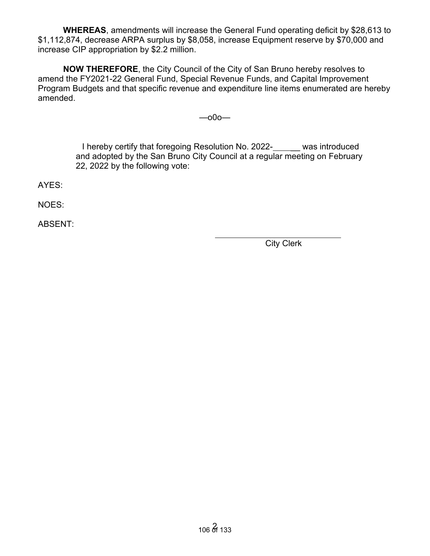**WHEREAS**, amendments will increase the General Fund operating deficit by \$28,613 to \$1,112,874, decrease ARPA surplus by \$8,058, increase Equipment reserve by \$70,000 and increase CIP appropriation by \$2.2 million.

**NOW THEREFORE**, the City Council of the City of San Bruno hereby resolves to amend the FY2021-22 General Fund, Special Revenue Funds, and Capital Improvement Program Budgets and that specific revenue and expenditure line items enumerated are hereby amended.

—o0o—

I hereby certify that foregoing Resolution No. 2022- \_\_ was introduced and adopted by the San Bruno City Council at a regular meeting on February 22, 2022 by the following vote:

AYES:

NOES:

ABSENT:

City Clerk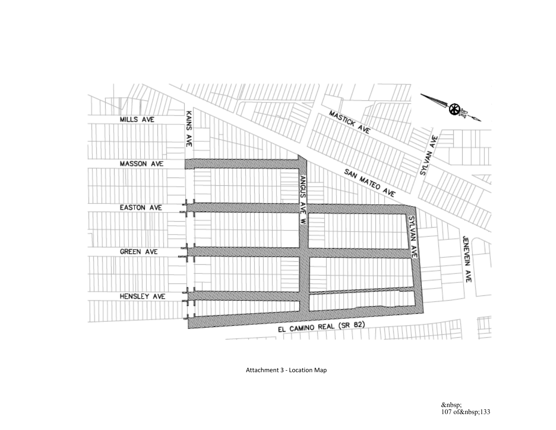

Attachment 3 - Location Map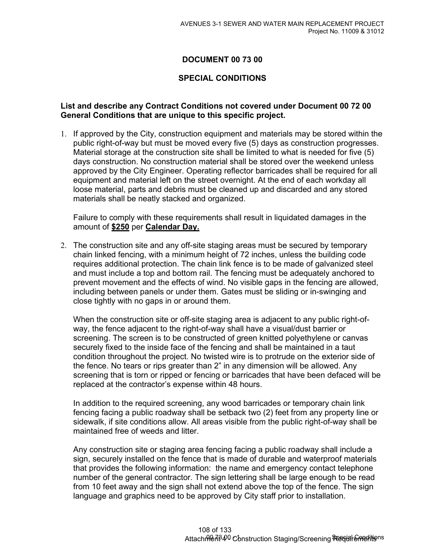# **DOCUMENT 00 73 00**

## **SPECIAL CONDITIONS**

## **List and describe any Contract Conditions not covered under Document 00 72 00 General Conditions that are unique to this specific project.**

1. If approved by the City, construction equipment and materials may be stored within the public right-of-way but must be moved every five (5) days as construction progresses. Material storage at the construction site shall be limited to what is needed for five (5) days construction. No construction material shall be stored over the weekend unless approved by the City Engineer. Operating reflector barricades shall be required for all equipment and material left on the street overnight. At the end of each workday all loose material, parts and debris must be cleaned up and discarded and any stored materials shall be neatly stacked and organized.

Failure to comply with these requirements shall result in liquidated damages in the amount of **\$250** per **Calendar Day.** 

2. The construction site and any off-site staging areas must be secured by temporary chain linked fencing, with a minimum height of 72 inches, unless the building code requires additional protection. The chain link fence is to be made of galvanized steel and must include a top and bottom rail. The fencing must be adequately anchored to prevent movement and the effects of wind. No visible gaps in the fencing are allowed, including between panels or under them. Gates must be sliding or in-swinging and close tightly with no gaps in or around them.

When the construction site or off-site staging area is adjacent to any public right-ofway, the fence adjacent to the right-of-way shall have a visual/dust barrier or screening. The screen is to be constructed of green knitted polyethylene or canvas securely fixed to the inside face of the fencing and shall be maintained in a taut condition throughout the project. No twisted wire is to protrude on the exterior side of the fence. No tears or rips greater than 2" in any dimension will be allowed. Any screening that is torn or ripped or fencing or barricades that have been defaced will be replaced at the contractor's expense within 48 hours.

In addition to the required screening, any wood barricades or temporary chain link fencing facing a public roadway shall be setback two (2) feet from any property line or sidewalk, if site conditions allow. All areas visible from the public right-of-way shall be maintained free of weeds and litter.

Any construction site or staging area fencing facing a public roadway shall include a sign, securely installed on the fence that is made of durable and waterproof materials that provides the following information: the name and emergency contact telephone number of the general contractor. The sign lettering shall be large enough to be read from 10 feet away and the sign shall not extend above the top of the fence. The sign language and graphics need to be approved by City staff prior to installation.